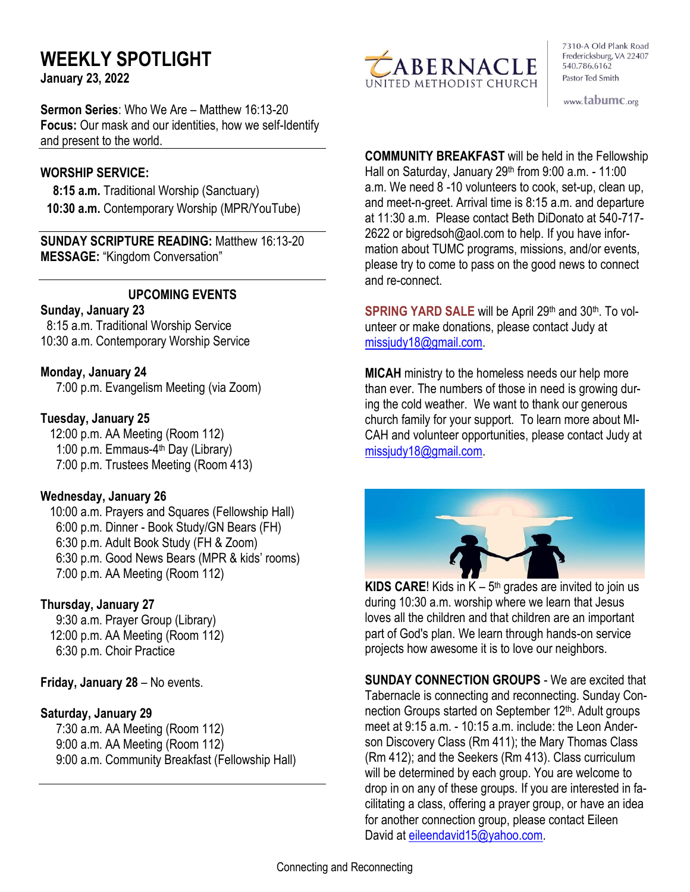# **WEEKLY SPOTLIGHT**

**January 23, 2022** 

**Sermon Series**: Who We Are – Matthew 16:13-20 **Focus:** Our mask and our identities, how we self-Identify and present to the world.

#### **WORSHIP SERVICE:**

 **8:15 a.m.** Traditional Worship (Sanctuary)  **10:30 a.m.** Contemporary Worship (MPR/YouTube)

**SUNDAY SCRIPTURE READING:** Matthew 16:13-20 **MESSAGE:** "Kingdom Conversation"

#### **UPCOMING EVENTS**

#### **Sunday, January 23**

 8:15 a.m. Traditional Worship Service 10:30 a.m. Contemporary Worship Service

#### **Monday, January 24**

7:00 p.m. Evangelism Meeting (via Zoom)

#### **Tuesday, January 25**

12:00 p.m. AA Meeting (Room 112) 1:00 p.m. Emmaus-4<sup>th</sup> Day (Library) 7:00 p.m. Trustees Meeting (Room 413)

#### **Wednesday, January 26**

10:00 a.m. Prayers and Squares (Fellowship Hall) 6:00 p.m. Dinner - Book Study/GN Bears (FH) 6:30 p.m. Adult Book Study (FH & Zoom) 6:30 p.m. Good News Bears (MPR & kids' rooms) 7:00 p.m. AA Meeting (Room 112)

## **Thursday, January 27**

9:30 a.m. Prayer Group (Library) 12:00 p.m. AA Meeting (Room 112) 6:30 p.m. Choir Practice

**Friday, January 28** – No events.

## **Saturday, January 29**

7:30 a.m. AA Meeting (Room 112) 9:00 a.m. AA Meeting (Room 112) 9:00 a.m. Community Breakfast (Fellowship Hall)



7310-A Old Plank Road Fredericksburg, VA 22407 540.786.6162 Pastor Ted Smith

www.tabumc.org

**COMMUNITY BREAKFAST** will be held in the Fellowship Hall on Saturday, January  $29<sup>th</sup>$  from  $9:00$  a.m. - 11:00 a.m. We need 8 -10 volunteers to cook, set-up, clean up, and meet-n-greet. Arrival time is 8:15 a.m. and departure at 11:30 a.m. Please contact Beth DiDonato at 540-717- 2622 or bigredsoh@aol.com to help. If you have information about TUMC programs, missions, and/or events, please try to come to pass on the good news to connect and re-connect.

**SPRING YARD SALE** will be April 29th and 30th. To volunteer or make donations, please contact Judy at [missjudy18@gmail.com.](mailto:missjudy18@gmail.com)

**MICAH** ministry to the homeless needs our help more than ever. The numbers of those in need is growing during the cold weather. We want to thank our generous church family for your support. To learn more about MI-CAH and volunteer opportunities, please contact Judy at [missjudy18@gmail.com.](mailto:missjudy18@gmail.com)



**KIDS CARE!** Kids in  $K - 5$ <sup>th</sup> grades are invited to join us during 10:30 a.m. worship where we learn that Jesus loves all the children and that children are an important part of God's plan. We learn through hands-on service projects how awesome it is to love our neighbors.

**SUNDAY CONNECTION GROUPS** - We are excited that Tabernacle is connecting and reconnecting. Sunday Connection Groups started on September 12<sup>th</sup>. Adult groups meet at 9:15 a.m. - 10:15 a.m. include: the Leon Anderson Discovery Class (Rm 411); the Mary Thomas Class (Rm 412); and the Seekers (Rm 413). Class curriculum will be determined by each group. You are welcome to drop in on any of these groups. If you are interested in facilitating a class, offering a prayer group, or have an idea for another connection group, please contact Eileen David at [eileendavid15@yahoo.com.](mailto:eileendavid15@yahoo.com)